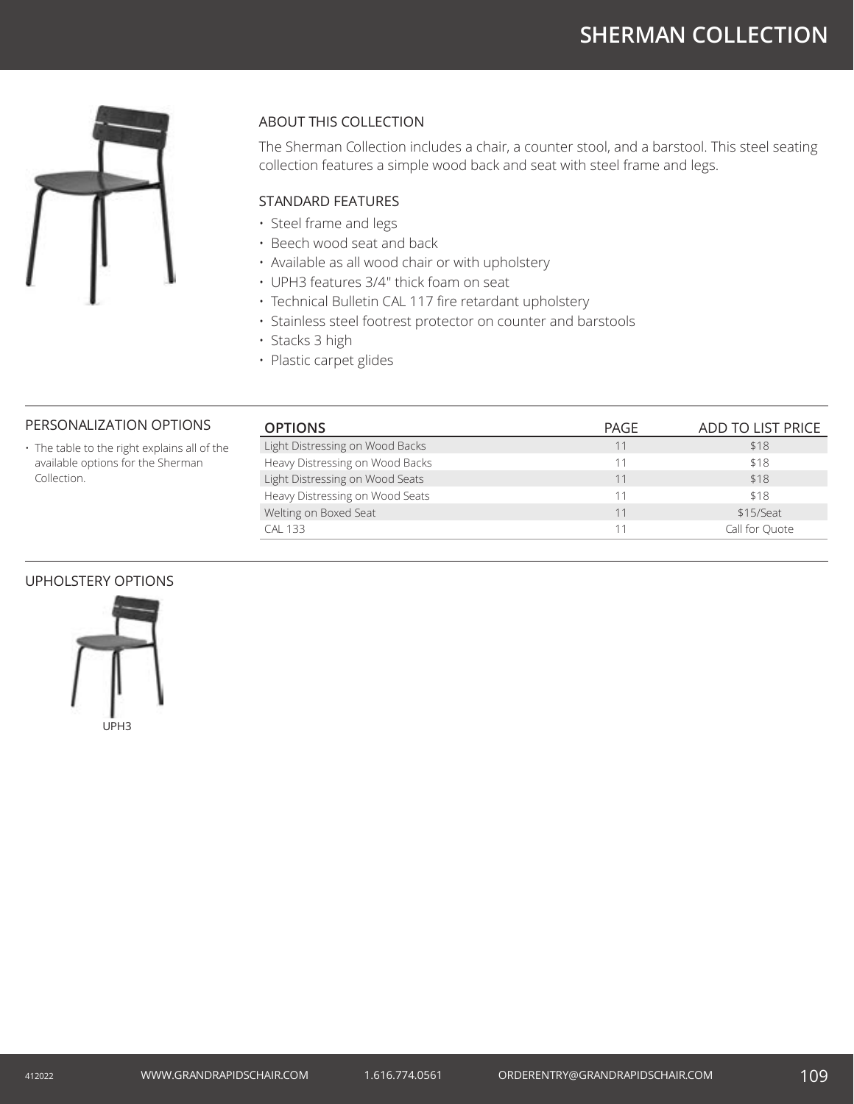# **SHERMAN COLLECTION**



# ABOUT THIS COLLECTION

The Sherman Collection includes a chair, a counter stool, and a barstool. This steel seating collection features a simple wood back and seat with steel frame and legs.

# STANDARD FEATURES

- Steel frame and legs
- Beech wood seat and back
- Available as all wood chair or with upholstery
- UPH3 features 3/4" thick foam on seat
- Technical Bulletin CAL 117 fire retardant upholstery
- Stainless steel footrest protector on counter and barstools
- Stacks 3 high
- Plastic carpet glides

## PERSONALIZATION OPTIONS

• The table to the right explains all of the available options for the Sherman Collection.

| <b>OPTIONS</b>                  | PAGE | ADD TO LIST PRICE |
|---------------------------------|------|-------------------|
| Light Distressing on Wood Backs | 11   | \$18              |
| Heavy Distressing on Wood Backs | 11   | \$18              |
| Light Distressing on Wood Seats | 11   | \$18              |
| Heavy Distressing on Wood Seats |      | \$18              |
| Welting on Boxed Seat           | 11   | \$15/Seat         |
| <b>CAL 133</b>                  |      | Call for Ouote    |

#### UPHOLSTERY OPTIONS